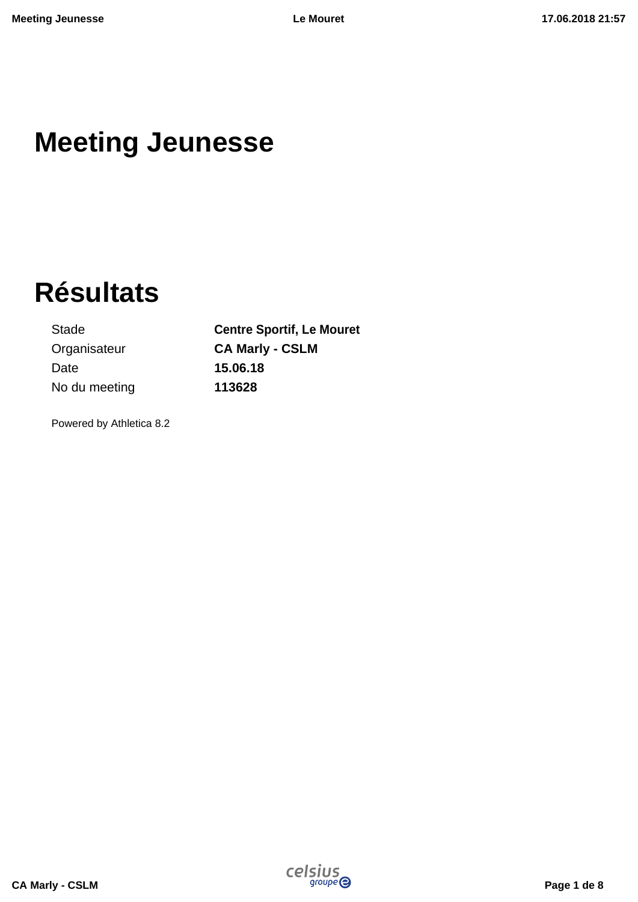# **Meeting Jeunesse**

# **Résultats**

Stade **Centre Sportif, Le Mouret** Organisateur **CA Marly - CSLM** Date **15.06.18** No du meeting **113628**

Powered by Athletica 8.2

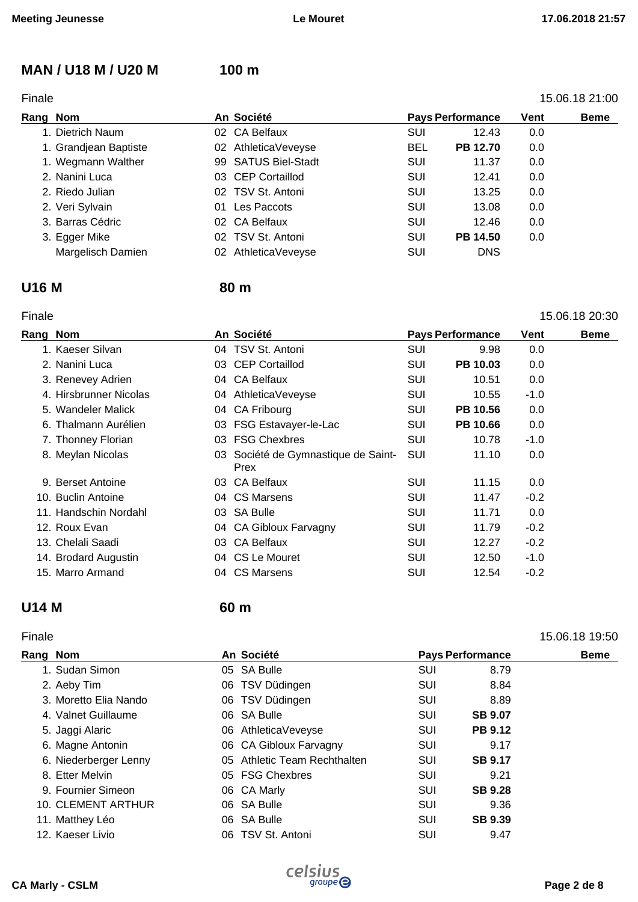### **MAN / U18 M / U20 M 100 m**

#### Finale 15.06.18 21:00

#### **Rang Nom An Société Pays Performance Vent Beme**  1. Dietrich Naum 02 CA Belfaux SUI 12.43 0.0 1. Grandjean Baptiste 02 AthleticaVeveyse BEL **PB 12.70** 0.0 1. Wegmann Walther **99 SATUS Biel-Stadt** SUI 11.37 0.0 2. Nanini Luca 03 CEP Cortaillod SUI 12.41 0.0 2. Riedo Julian 02 TSV St. Antoni SUI 13.25 0.0 2. Veri Sylvain **13.08** 01 Les Paccots **SUI** 13.08 0.0 3. Barras Cédric **12.46** 02 CA Belfaux **SUI** 12.46 0.0 3. Egger Mike 02 TSV St. Antoni SUI **PB 14.50** 0.0 Margelisch Damien 02 AthleticaVeveyse SUI DNS

#### **U16 M 80 m**

#### Finale 15.06.18 20:30

| Rang Nom |                        | An Société                                  | <b>Pays Performance</b> |          | <b>Vent</b> | <b>Beme</b> |
|----------|------------------------|---------------------------------------------|-------------------------|----------|-------------|-------------|
|          | 1. Kaeser Silvan       | 04 TSV St. Antoni                           | <b>SUI</b>              | 9.98     | 0.0         |             |
|          | 2. Nanini Luca         | 03 CEP Cortaillod                           | SUI                     | PB 10.03 | 0.0         |             |
|          | 3. Renevey Adrien      | 04 CA Belfaux                               | <b>SUI</b>              | 10.51    | 0.0         |             |
|          | 4. Hirsbrunner Nicolas | 04 AthleticaVeveyse                         | SUI                     | 10.55    | $-1.0$      |             |
|          | 5. Wandeler Malick     | 04 CA Fribourg                              | SUI                     | PB 10.56 | 0.0         |             |
|          | 6. Thalmann Aurélien   | 03 FSG Estavayer-le-Lac                     | <b>SUI</b>              | PB 10.66 | 0.0         |             |
|          | 7. Thonney Florian     | 03 FSG Chexbres                             | <b>SUI</b>              | 10.78    | $-1.0$      |             |
|          | 8. Meylan Nicolas      | 03 Société de Gymnastique de Saint-<br>Prex | <b>SUI</b>              | 11.10    | 0.0         |             |
|          | 9. Berset Antoine      | 03 CA Belfaux                               | <b>SUI</b>              | 11.15    | 0.0         |             |
|          | 10. Buclin Antoine     | 04 CS Marsens                               | SUI                     | 11.47    | $-0.2$      |             |
|          | 11. Handschin Nordahl  | 03 SA Bulle                                 | SUI                     | 11.71    | 0.0         |             |
|          | 12. Roux Evan          | 04 CA Gibloux Farvagny                      | SUI                     | 11.79    | $-0.2$      |             |
|          | 13. Chelali Saadi      | 03 CA Belfaux                               | <b>SUI</b>              | 12.27    | $-0.2$      |             |
|          | 14. Brodard Augustin   | 04 CS Le Mouret                             | SUI                     | 12.50    | $-1.0$      |             |
|          | 15. Marro Armand       | 04 CS Marsens                               | <b>SUI</b>              | 12.54    | $-0.2$      |             |

# **U14 M 60 m**

#### Finale 15.06.18 19:50

| Rang Nom |                       | An Société                   | <b>Pays Performance</b> |                | <b>Beme</b> |
|----------|-----------------------|------------------------------|-------------------------|----------------|-------------|
|          | 1. Sudan Simon        | 05 SA Bulle                  | <b>SUI</b>              | 8.79           |             |
|          | 2. Aeby Tim           | 06 TSV Düdingen              | <b>SUI</b>              | 8.84           |             |
|          | 3. Moretto Elia Nando | 06 TSV Düdingen              | <b>SUI</b>              | 8.89           |             |
|          | 4. Valnet Guillaume   | 06 SA Bulle                  | <b>SUI</b>              | <b>SB 9.07</b> |             |
|          | 5. Jaggi Alaric       | 06 AthleticaVeveyse          | SUI                     | <b>PB 9.12</b> |             |
|          | 6. Magne Antonin      | 06 CA Gibloux Farvagny       | SUI                     | 9.17           |             |
|          | 6. Niederberger Lenny | 05 Athletic Team Rechthalten | SUI                     | <b>SB 9.17</b> |             |
|          | 8. Etter Melvin       | 05 FSG Chexbres              | <b>SUI</b>              | 9.21           |             |
|          | 9. Fournier Simeon    | 06 CA Marly                  | SUI                     | <b>SB 9.28</b> |             |
|          | 10. CLEMENT ARTHUR    | 06 SA Bulle                  | SUI                     | 9.36           |             |
|          | 11. Matthey Léo       | 06 SA Bulle                  | <b>SUI</b>              | <b>SB 9.39</b> |             |
|          | 12. Kaeser Livio      | 06 TSV St. Antoni            | SUI                     | 9.47           |             |

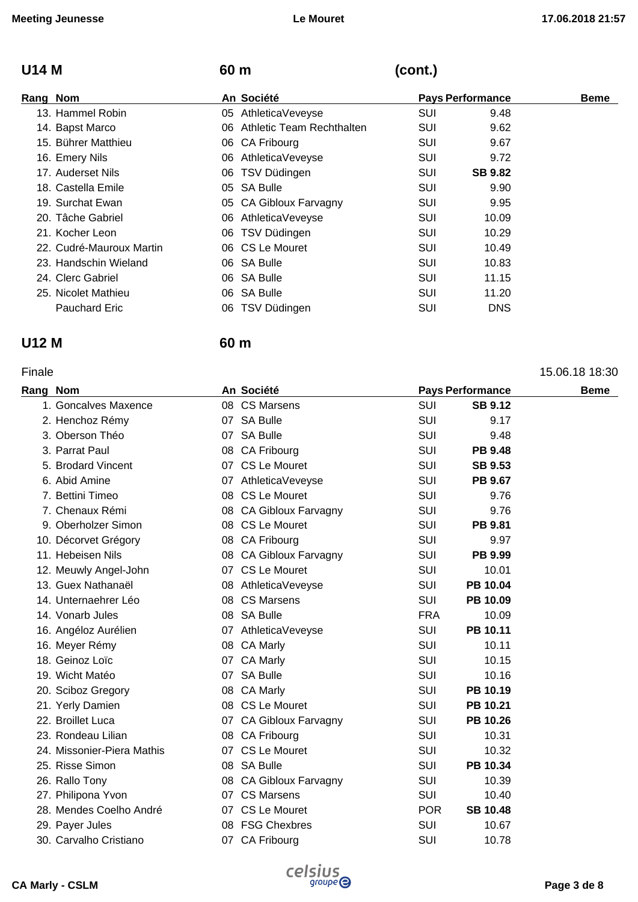# **U14 M 60 m (cont.)**

| Rang Nom                 | An Société                   |            | <b>Pays Performance</b> | <b>Beme</b> |
|--------------------------|------------------------------|------------|-------------------------|-------------|
| 13. Hammel Robin         | 05 AthleticaVeveyse          | SUI        | 9.48                    |             |
| 14. Bapst Marco          | 06 Athletic Team Rechthalten | SUI        | 9.62                    |             |
| 15. Bührer Matthieu      | 06 CA Fribourg               | SUI        | 9.67                    |             |
| 16. Emery Nils           | 06 AthleticaVeveyse          | <b>SUI</b> | 9.72                    |             |
| 17. Auderset Nils        | 06 TSV Düdingen              | <b>SUI</b> | <b>SB 9.82</b>          |             |
| 18. Castella Emile       | 05 SA Bulle                  | SUI        | 9.90                    |             |
| 19. Surchat Ewan         | 05 CA Gibloux Farvagny       | SUI        | 9.95                    |             |
| 20. Tâche Gabriel        | 06 AthleticaVeveyse          | SUI        | 10.09                   |             |
| 21. Kocher Leon          | 06 TSV Düdingen              | SUI        | 10.29                   |             |
| 22. Cudré-Mauroux Martin | 06 CS Le Mouret              | SUI        | 10.49                   |             |
| 23. Handschin Wieland    | 06 SA Bulle                  | <b>SUI</b> | 10.83                   |             |
| 24. Clerc Gabriel        | 06 SA Bulle                  | SUI        | 11.15                   |             |
| 25. Nicolet Mathieu      | 06 SA Bulle                  | SUI        | 11.20                   |             |
| <b>Pauchard Eric</b>     | 06 TSV Düdingen              | SUI        | <b>DNS</b>              |             |

### **U12 M 60 m**

#### Finale 15.06.18 18:30

| Rang Nom |                            |    | An Société             |            | <b>Pays Performance</b> | <b>Beme</b> |
|----------|----------------------------|----|------------------------|------------|-------------------------|-------------|
|          | 1. Goncalves Maxence       |    | 08 CS Marsens          | SUI        | <b>SB 9.12</b>          |             |
|          | 2. Henchoz Rémy            |    | 07 SA Bulle            | SUI        | 9.17                    |             |
|          | 3. Oberson Théo            |    | 07 SA Bulle            | <b>SUI</b> | 9.48                    |             |
|          | 3. Parrat Paul             |    | 08 CA Fribourg         | SUI        | <b>PB 9.48</b>          |             |
|          | 5. Brodard Vincent         |    | 07 CS Le Mouret        | SUI        | <b>SB 9.53</b>          |             |
|          | 6. Abid Amine              |    | 07 AthleticaVeveyse    | SUI        | PB 9.67                 |             |
|          | 7. Bettini Timeo           |    | 08 CS Le Mouret        | <b>SUI</b> | 9.76                    |             |
|          | 7. Chenaux Rémi            |    | 08 CA Gibloux Farvagny | SUI        | 9.76                    |             |
|          | 9. Oberholzer Simon        |    | 08 CS Le Mouret        | SUI        | PB 9.81                 |             |
|          | 10. Décorvet Grégory       |    | 08 CA Fribourg         | SUI        | 9.97                    |             |
|          | 11. Hebeisen Nils          |    | 08 CA Gibloux Farvagny | SUI        | PB 9.99                 |             |
|          | 12. Meuwly Angel-John      |    | 07 CS Le Mouret        | SUI        | 10.01                   |             |
|          | 13. Guex Nathanaël         |    | 08 AthleticaVeveyse    | SUI        | PB 10.04                |             |
|          | 14. Unternaehrer Léo       |    | 08 CS Marsens          | <b>SUI</b> | PB 10.09                |             |
|          | 14. Vonarb Jules           |    | 08 SA Bulle            | <b>FRA</b> | 10.09                   |             |
|          | 16. Angéloz Aurélien       |    | 07 AthleticaVeveyse    | <b>SUI</b> | PB 10.11                |             |
|          | 16. Meyer Rémy             |    | 08 CA Marly            | SUI        | 10.11                   |             |
|          | 18. Geinoz Loïc            | 07 | <b>CA Marly</b>        | <b>SUI</b> | 10.15                   |             |
|          | 19. Wicht Matéo            |    | 07 SA Bulle            | SUI        | 10.16                   |             |
|          | 20. Sciboz Gregory         |    | 08 CA Marly            | SUI        | PB 10.19                |             |
|          | 21. Yerly Damien           |    | 08 CS Le Mouret        | <b>SUI</b> | PB 10.21                |             |
|          | 22. Broillet Luca          |    | 07 CA Gibloux Farvagny | SUI        | PB 10.26                |             |
|          | 23. Rondeau Lilian         |    | 08 CA Fribourg         | SUI        | 10.31                   |             |
|          | 24. Missonier-Piera Mathis |    | 07 CS Le Mouret        | <b>SUI</b> | 10.32                   |             |
|          | 25. Risse Simon            |    | 08 SA Bulle            | SUI        | PB 10.34                |             |
|          | 26. Rallo Tony             |    | 08 CA Gibloux Farvagny | SUI        | 10.39                   |             |
|          | 27. Philipona Yvon         |    | 07 CS Marsens          | <b>SUI</b> | 10.40                   |             |
|          | 28. Mendes Coelho André    |    | 07 CS Le Mouret        | <b>POR</b> | <b>SB 10.48</b>         |             |
|          | 29. Payer Jules            |    | 08 FSG Chexbres        | SUI        | 10.67                   |             |
|          | 30. Carvalho Cristiano     |    | 07 CA Fribourg         | SUI        | 10.78                   |             |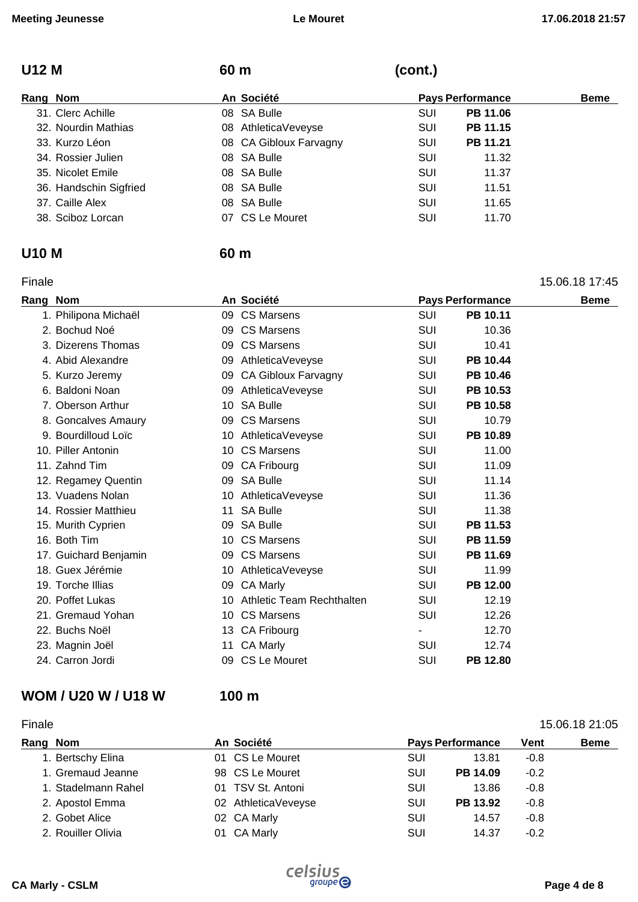### **U12 M 60 m (cont.)**

| Rang Nom |                        | An Société             | <b>Pays Performance</b> | <b>Beme</b> |  |
|----------|------------------------|------------------------|-------------------------|-------------|--|
|          | 31. Clerc Achille      | 08 SA Bulle            | PB 11.06<br>SUI         |             |  |
|          | 32. Nourdin Mathias    | 08 AthleticaVeveyse    | PB 11.15<br>SUI         |             |  |
|          | 33. Kurzo Léon         | 08 CA Gibloux Farvagny | PB 11.21<br>SUI         |             |  |
|          | 34. Rossier Julien     | 08 SA Bulle            | SUI<br>11.32            |             |  |
|          | 35. Nicolet Emile      | 08 SA Bulle            | SUI<br>11.37            |             |  |
|          | 36. Handschin Sigfried | 08 SA Bulle            | SUI<br>11.51            |             |  |
|          | 37. Caille Alex        | 08 SA Bulle            | SUI<br>11.65            |             |  |
|          | 38. Sciboz Lorcan      | 07 CS Le Mouret        | SUI<br>11.70            |             |  |

#### **U10 M 60 m**

| Finale |                       |    |                            |            |                         | 15.06.18 17:45 |
|--------|-----------------------|----|----------------------------|------------|-------------------------|----------------|
|        | Rang Nom              |    | An Société                 |            | <b>Pays Performance</b> | <b>Beme</b>    |
|        | 1. Philipona Michaël  |    | 09 CS Marsens              | SUI        | PB 10.11                |                |
|        | 2. Bochud Noé         |    | 09 CS Marsens              | SUI        | 10.36                   |                |
|        | 3. Dizerens Thomas    |    | 09 CS Marsens              | <b>SUI</b> | 10.41                   |                |
|        | 4. Abid Alexandre     | 09 | AthleticaVeveyse           | <b>SUI</b> | PB 10.44                |                |
|        | 5. Kurzo Jeremy       | 09 | <b>CA Gibloux Farvagny</b> | <b>SUI</b> | PB 10.46                |                |
|        | 6. Baldoni Noan       | 09 | AthleticaVeveyse           | SUI        | PB 10.53                |                |
|        | 7. Oberson Arthur     |    | 10 SA Bulle                | SUI        | PB 10.58                |                |
|        | 8. Goncalves Amaury   | 09 | <b>CS Marsens</b>          | SUI        | 10.79                   |                |
|        | 9. Bourdilloud Loïc   |    | 10 AthleticaVeveyse        | <b>SUI</b> | PB 10.89                |                |
|        | 10. Piller Antonin    |    | 10 CS Marsens              | SUI        | 11.00                   |                |
|        | 11. Zahnd Tim         | 09 | CA Fribourg                | SUI        | 11.09                   |                |
|        | 12. Regamey Quentin   |    | 09 SA Bulle                | SUI        | 11.14                   |                |
|        | 13. Vuadens Nolan     |    | 10 AthleticaVeveyse        | SUI        | 11.36                   |                |
|        | 14. Rossier Matthieu  | 11 | <b>SA Bulle</b>            | <b>SUI</b> | 11.38                   |                |
|        | 15. Murith Cyprien    | 09 | <b>SA Bulle</b>            | SUI        | PB 11.53                |                |
|        | 16. Both Tim          |    | 10 CS Marsens              | SUI        | PB 11.59                |                |
|        | 17. Guichard Benjamin |    | 09 CS Marsens              | SUI        | PB 11.69                |                |
|        | 18. Guex Jérémie      | 10 | AthleticaVeveyse           | <b>SUI</b> | 11.99                   |                |
|        | 19. Torche Illias     | 09 | <b>CA Marly</b>            | <b>SUI</b> | PB 12.00                |                |
|        | 20. Poffet Lukas      | 10 | Athletic Team Rechthalten  | SUI        | 12.19                   |                |
|        | 21. Gremaud Yohan     |    | 10 CS Marsens              | SUI        | 12.26                   |                |
|        | 22. Buchs Noël        | 13 | CA Fribourg                |            | 12.70                   |                |
|        | 23. Magnin Joël       | 11 | CA Marly                   | <b>SUI</b> | 12.74                   |                |
|        | 24. Carron Jordi      | 09 | <b>CS Le Mouret</b>        | SUI        | PB 12.80                |                |

#### **WOM / U20 W / U18 W 100 m**

#### Finale 15.06.18 21:05 **Rang Nom An Société Pays Performance Vent Beme**  1. Bertschy Elina **1. Bertschy Elina 13.81** -0.8 1. Gremaud Jeanne 98 CS Le Mouret SUI **PB 14.09** -0.2 1. Stadelmann Rahel **01 TSV St. Antoni** CH CH CH CH 13.86 -0.8 2. Apostol Emma 02 AthleticaVeveyse SUI **PB 13.92** -0.8 2. Gobet Alice **02 CA Marly CANAILY** SUI 14.57 -0.8 2. Rouiller Olivia **COMEX COMEX 14.37** -0.2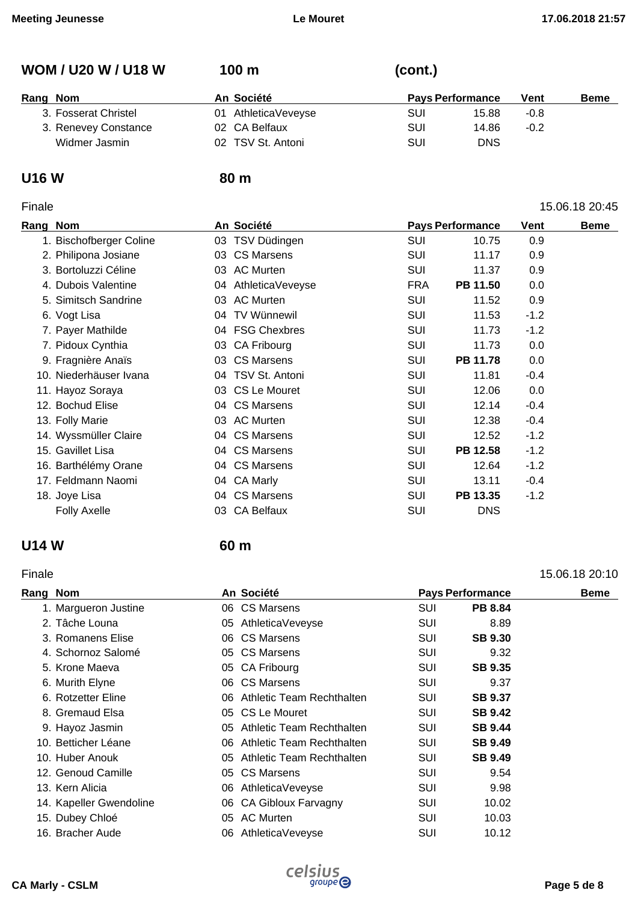#### **WOM / U20 W / U18 W 100 m (cont.)**

| Rang Nom             | An Société          | <b>Pays Performance</b> |        | <b>Beme</b> |
|----------------------|---------------------|-------------------------|--------|-------------|
| 3. Fosserat Christel | 01 AthleticaVeveyse | SUI<br>15.88            | $-0.8$ |             |
| 3. Renevey Constance | 02 CA Belfaux       | SUI<br>14.86            | $-0.2$ |             |
| Widmer Jasmin        | 02 TSV St. Antoni   | SUI<br>DNS              |        |             |

#### **U16 W 80 m**

#### Finale 15.06.18 20:45

#### **Rang Nom An Société Pays Performance Vent Beme**  1. Bischofberger Coline **03 TSV Düdingen** COM SUI 10.75 0.9 2. Philipona Josiane **03 CS Marsens** CS Not all the SUI 11.17 0.9 3. Bortoluzzi Céline 03 AC Murten SUI 11.37 0.9 4. Dubois Valentine 04 AthleticaVeveyse FRA **PB 11.50** 0.0 5. Simitsch Sandrine 03 AC Murten SUI 11.52 0.9 6. Vogt Lisa 04 TV Wünnewil SUI 11.53 -1.2 7. Payer Mathilde **04 FSG Chexbres** COMEX SUI 11.73 -1.2 7. Pidoux Cynthia **11.73** 0.0 9. Fragnière Anaïs 03 CS Marsens SUI **PB 11.78** 0.0 10. Niederhäuser Ivana 04 TSV St. Antoni SUI 11.81 -0.4 11. Hayoz Soraya 03 CS Le Mouret SUI 12.06 0.0 12. Bochud Elise **12.14** -0.4 CS Marsens **SUI** 12.14 -0.4 13. Folly Marie **12.38** -0.4 **03 AC Murten 12.38 -0.4** SUI 12.38 -0.4 14. Wyssmüller Claire **12.52** -1.2 15. Gavillet Lisa 04 CS Marsens SUI **PB 12.58** -1.2 16. Barthélémy Orane **12.64** CS Marsens **SUI** 12.64 -1.2 17. Feldmann Naomi 04 CA Marly SUI 13.11 -0.4 18. Joye Lisa 04 CS Marsens SUI **PB 13.35** -1.2 Folly Axelle **COMPUTE 103 CA Belfaux** COMPUTE SUI DNS

#### **U14 W 60 m**

#### Finale 15.06.18 20:10

| Rang | Nom                     |     | An Société                   | <b>Pays Performance</b> |                | <b>Beme</b> |
|------|-------------------------|-----|------------------------------|-------------------------|----------------|-------------|
|      | 1. Margueron Justine    |     | 06 CS Marsens                | SUI                     | <b>PB 8.84</b> |             |
|      | 2. Tâche Louna          |     | 05 AthleticaVeveyse          | SUI                     | 8.89           |             |
|      | 3. Romanens Elise       |     | 06 CS Marsens                | <b>SUI</b>              | <b>SB 9.30</b> |             |
|      | 4. Schornoz Salomé      |     | 05 CS Marsens                | SUI                     | 9.32           |             |
|      | 5. Krone Maeva          |     | 05 CA Fribourg               | SUI                     | <b>SB 9.35</b> |             |
|      | 6. Murith Elyne         |     | 06 CS Marsens                | <b>SUI</b>              | 9.37           |             |
|      | 6. Rotzetter Eline      |     | 06 Athletic Team Rechthalten | SUI                     | <b>SB 9.37</b> |             |
|      | 8. Gremaud Elsa         |     | 05 CS Le Mouret              | SUI                     | <b>SB 9.42</b> |             |
|      | 9. Hayoz Jasmin         |     | 05 Athletic Team Rechthalten | <b>SUI</b>              | <b>SB 9.44</b> |             |
|      | 10. Betticher Léane     |     | 06 Athletic Team Rechthalten | <b>SUI</b>              | <b>SB 9.49</b> |             |
|      | 10. Huber Anouk         |     | 05 Athletic Team Rechthalten | SUI                     | <b>SB 9.49</b> |             |
|      | 12. Genoud Camille      |     | 05 CS Marsens                | SUI                     | 9.54           |             |
|      | 13. Kern Alicia         |     | 06 AthleticaVeveyse          | SUI                     | 9.98           |             |
|      | 14. Kapeller Gwendoline |     | 06 CA Gibloux Farvagny       | SUI                     | 10.02          |             |
|      | 15. Dubey Chloé         | 05  | <b>AC Murten</b>             | SUI                     | 10.03          |             |
|      | 16. Bracher Aude        | 06. | AthleticaVeveyse             | SUI                     | 10.12          |             |

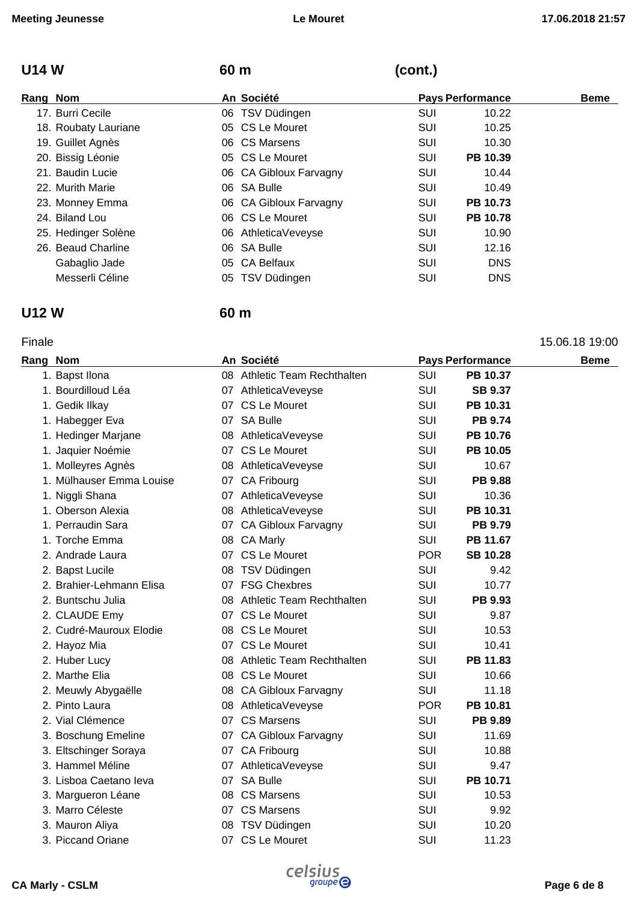# **U14 W 60 m (cont.)**

| Rang Nom |                      | An Société             |            | <b>Pays Performance</b> | <b>Beme</b> |
|----------|----------------------|------------------------|------------|-------------------------|-------------|
|          | 17. Burri Cecile     | 06 TSV Düdingen        | SUI        | 10.22                   |             |
|          | 18. Roubaty Lauriane | 05 CS Le Mouret        | SUI        | 10.25                   |             |
|          | 19. Guillet Agnès    | 06 CS Marsens          | SUI        | 10.30                   |             |
|          | 20. Bissig Léonie    | 05 CS Le Mouret        | <b>SUI</b> | PB 10.39                |             |
|          | 21. Baudin Lucie     | 06 CA Gibloux Farvagny | SUI        | 10.44                   |             |
|          | 22. Murith Marie     | 06 SA Bulle            | SUI        | 10.49                   |             |
|          | 23. Monney Emma      | 06 CA Gibloux Farvagny | SUI        | PB 10.73                |             |
|          | 24. Biland Lou       | 06 CS Le Mouret        | SUI        | <b>PB 10.78</b>         |             |
|          | 25. Hedinger Solène  | 06 AthleticaVeveyse    | <b>SUI</b> | 10.90                   |             |
|          | 26. Beaud Charline   | 06 SA Bulle            | SUI        | 12.16                   |             |
|          | Gabaglio Jade        | 05 CA Belfaux          | SUI        | <b>DNS</b>              |             |
|          | Messerli Céline      | 05 TSV Düdingen        | SUI        | <b>DNS</b>              |             |

### **U12 W 60 m**

#### Finale 15.06.18 19:00

| Rang Nom |                          | An Société                   |            | <b>Pays Performance</b> | <b>Beme</b> |
|----------|--------------------------|------------------------------|------------|-------------------------|-------------|
|          | 1. Bapst Ilona           | 08 Athletic Team Rechthalten | SUI        | PB 10.37                |             |
|          | 1. Bourdilloud Léa       | 07 AthleticaVeveyse          | SUI        | <b>SB 9.37</b>          |             |
|          | 1. Gedik Ilkay           | 07 CS Le Mouret              | <b>SUI</b> | PB 10.31                |             |
|          | 1. Habegger Eva          | 07 SA Bulle                  | SUI        | <b>PB 9.74</b>          |             |
|          | 1. Hedinger Marjane      | 08 AthleticaVeveyse          | SUI        | PB 10.76                |             |
|          | 1. Jaquier Noémie        | 07 CS Le Mouret              | SUI        | PB 10.05                |             |
|          | 1. Molleyres Agnès       | 08 AthleticaVeveyse          | SUI        | 10.67                   |             |
|          | 1. Mülhauser Emma Louise | 07 CA Fribourg               | SUI        | <b>PB 9.88</b>          |             |
|          | 1. Niggli Shana          | 07 AthleticaVeveyse          | SUI        | 10.36                   |             |
|          | 1. Oberson Alexia        | 08 AthleticaVeveyse          | <b>SUI</b> | PB 10.31                |             |
|          | 1. Perraudin Sara        | 07 CA Gibloux Farvagny       | <b>SUI</b> | PB 9.79                 |             |
|          | 1. Torche Emma           | 08 CA Marly                  | <b>SUI</b> | PB 11.67                |             |
|          | 2. Andrade Laura         | 07 CS Le Mouret              | <b>POR</b> | <b>SB 10.28</b>         |             |
|          | 2. Bapst Lucile          | 08 TSV Düdingen              | SUI        | 9.42                    |             |
|          | 2. Brahier-Lehmann Elisa | 07 FSG Chexbres              | <b>SUI</b> | 10.77                   |             |
|          | 2. Buntschu Julia        | 08 Athletic Team Rechthalten | SUI        | PB 9.93                 |             |
|          | 2. CLAUDE Emy            | 07 CS Le Mouret              | <b>SUI</b> | 9.87                    |             |
|          | 2. Cudré-Mauroux Elodie  | 08 CS Le Mouret              | SUI        | 10.53                   |             |
|          | 2. Hayoz Mia             | 07 CS Le Mouret              | <b>SUI</b> | 10.41                   |             |
|          | 2. Huber Lucy            | 08 Athletic Team Rechthalten | SUI        | PB 11.83                |             |
|          | 2. Marthe Elia           | 08 CS Le Mouret              | SUI        | 10.66                   |             |
|          | 2. Meuwly Abygaëlle      | 08 CA Gibloux Farvagny       | SUI        | 11.18                   |             |
|          | 2. Pinto Laura           | 08 AthleticaVeveyse          | <b>POR</b> | PB 10.81                |             |
|          | 2. Vial Clémence         | 07 CS Marsens                | SUI        | PB 9.89                 |             |
|          | 3. Boschung Emeline      | 07 CA Gibloux Farvagny       | SUI        | 11.69                   |             |
|          | 3. Eltschinger Soraya    | 07 CA Fribourg               | SUI        | 10.88                   |             |
|          | 3. Hammel Méline         | 07 AthleticaVeveyse          | <b>SUI</b> | 9.47                    |             |
|          | 3. Lisboa Caetano leva   | 07 SA Bulle                  | SUI        | PB 10.71                |             |
|          | 3. Margueron Léane       | 08 CS Marsens                | SUI        | 10.53                   |             |
|          | 3. Marro Céleste         | 07 CS Marsens                | <b>SUI</b> | 9.92                    |             |
|          | 3. Mauron Aliya          | 08 TSV Düdingen              | SUI        | 10.20                   |             |
|          | 3. Piccand Oriane        | 07 CS Le Mouret              | SUI        | 11.23                   |             |
|          |                          |                              |            |                         |             |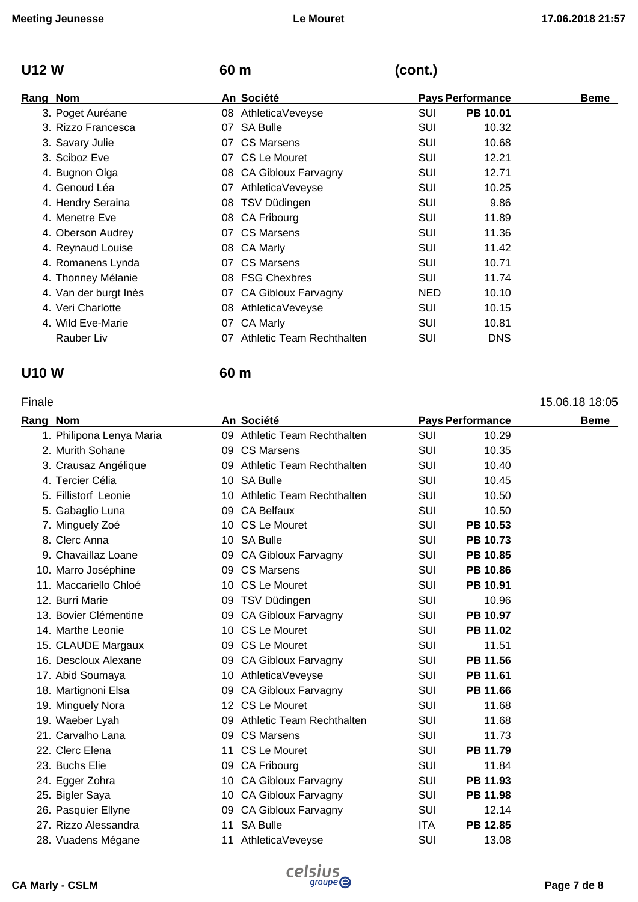# **U12 W 60 m (cont.)**

| Rang Nom |                       |    | An Société                |            | <b>Pays Performance</b> | <b>Beme</b> |
|----------|-----------------------|----|---------------------------|------------|-------------------------|-------------|
|          | 3. Poget Auréane      |    | 08 AthleticaVeveyse       | <b>SUI</b> | PB 10.01                |             |
|          | 3. Rizzo Francesca    | 07 | <b>SA Bulle</b>           | SUI        | 10.32                   |             |
|          | 3. Savary Julie       |    | 07 CS Marsens             | SUI        | 10.68                   |             |
|          | 3. Sciboz Eve         |    | 07 CS Le Mouret           | SUI        | 12.21                   |             |
|          | 4. Bugnon Olga        |    | 08 CA Gibloux Farvagny    | <b>SUI</b> | 12.71                   |             |
|          | 4. Genoud Léa         |    | 07 AthleticaVeveyse       | SUI        | 10.25                   |             |
|          | 4. Hendry Seraina     |    | 08 TSV Düdingen           | <b>SUI</b> | 9.86                    |             |
|          | 4. Menetre Eve        |    | 08 CA Fribourg            | SUI        | 11.89                   |             |
|          | 4. Oberson Audrey     |    | 07 CS Marsens             | SUI        | 11.36                   |             |
|          | 4. Reynaud Louise     |    | 08 CA Marly               | SUI        | 11.42                   |             |
|          | 4. Romanens Lynda     |    | 07 CS Marsens             | <b>SUI</b> | 10.71                   |             |
|          | 4. Thonney Mélanie    |    | 08 FSG Chexbres           | <b>SUI</b> | 11.74                   |             |
|          | 4. Van der burgt Inès |    | 07 CA Gibloux Farvagny    | <b>NED</b> | 10.10                   |             |
|          | 4. Veri Charlotte     | 08 | AthleticaVeveyse          | SUI        | 10.15                   |             |
|          | 4. Wild Eve-Marie     | 07 | <b>CA Marly</b>           | SUI        | 10.81                   |             |
|          | Rauber Liv            | 07 | Athletic Team Rechthalten | <b>SUI</b> | <b>DNS</b>              |             |

#### **U10 W 60 m**

#### Finale 15.06.18 18:05

| Rang Nom |                          |    | An Société                       |            | <b>Pays Performance</b> | <b>Beme</b> |
|----------|--------------------------|----|----------------------------------|------------|-------------------------|-------------|
|          | 1. Philipona Lenya Maria |    | 09 Athletic Team Rechthalten     | <b>SUI</b> | 10.29                   |             |
|          | 2. Murith Sohane         |    | 09 CS Marsens                    | SUI        | 10.35                   |             |
|          | 3. Crausaz Angélique     |    | 09 Athletic Team Rechthalten     | <b>SUI</b> | 10.40                   |             |
|          | 4. Tercier Célia         |    | 10 SA Bulle                      | <b>SUI</b> | 10.45                   |             |
|          | 5. Fillistorf Leonie     | 10 | <b>Athletic Team Rechthalten</b> | SUI        | 10.50                   |             |
|          | 5. Gabaglio Luna         |    | 09 CA Belfaux                    | SUI        | 10.50                   |             |
|          | 7. Minguely Zoé          |    | 10 CS Le Mouret                  | <b>SUI</b> | PB 10.53                |             |
|          | 8. Clerc Anna            |    | 10 SA Bulle                      | <b>SUI</b> | PB 10.73                |             |
|          | 9. Chavaillaz Loane      |    | 09 CA Gibloux Farvagny           | SUI        | PB 10.85                |             |
|          | 10. Marro Joséphine      |    | 09 CS Marsens                    | <b>SUI</b> | <b>PB 10.86</b>         |             |
|          | 11. Maccariello Chloé    |    | 10 CS Le Mouret                  | <b>SUI</b> | PB 10.91                |             |
|          | 12. Burri Marie          | 09 | TSV Düdingen                     | <b>SUI</b> | 10.96                   |             |
|          | 13. Bovier Clémentine    |    | 09 CA Gibloux Farvagny           | SUI        | PB 10.97                |             |
|          | 14. Marthe Leonie        |    | 10 CS Le Mouret                  | SUI        | PB 11.02                |             |
|          | 15. CLAUDE Margaux       |    | 09 CS Le Mouret                  | SUI        | 11.51                   |             |
|          | 16. Descloux Alexane     |    | 09 CA Gibloux Farvagny           | <b>SUI</b> | PB 11.56                |             |
|          | 17. Abid Soumaya         |    | 10 AthleticaVeveyse              | SUI        | PB 11.61                |             |
|          | 18. Martignoni Elsa      |    | 09 CA Gibloux Farvagny           | SUI        | PB 11.66                |             |
|          | 19. Minguely Nora        |    | 12 CS Le Mouret                  | SUI        | 11.68                   |             |
|          | 19. Waeber Lyah          |    | 09 Athletic Team Rechthalten     | SUI        | 11.68                   |             |
|          | 21. Carvalho Lana        |    | 09 CS Marsens                    | <b>SUI</b> | 11.73                   |             |
|          | 22. Clerc Elena          |    | 11 CS Le Mouret                  | SUI        | PB 11.79                |             |
|          | 23. Buchs Elie           |    | 09 CA Fribourg                   | SUI        | 11.84                   |             |
|          | 24. Egger Zohra          |    | 10 CA Gibloux Farvagny           | <b>SUI</b> | PB 11.93                |             |
|          | 25. Bigler Saya          |    | 10 CA Gibloux Farvagny           | <b>SUI</b> | PB 11.98                |             |
|          | 26. Pasquier Ellyne      |    | 09 CA Gibloux Farvagny           | <b>SUI</b> | 12.14                   |             |
|          | 27. Rizzo Alessandra     |    | 11 SA Bulle                      | <b>ITA</b> | PB 12.85                |             |
|          | 28. Vuadens Mégane       | 11 | AthleticaVeveyse                 | SUI        | 13.08                   |             |